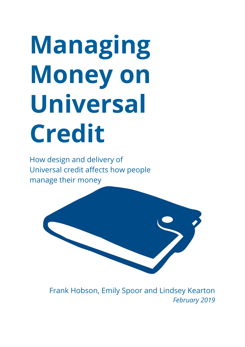# **Managing Money on Universal Credit**

How design and delivery of Universal credit affects how people manage their money



Frank Hobson, Emily Spoor and Lindsey Kearton *February 2019*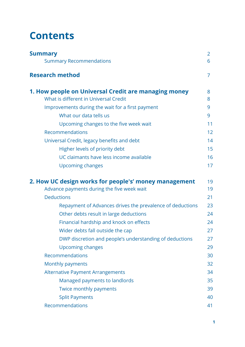# **Contents**

<span id="page-1-1"></span><span id="page-1-0"></span>

| <b>Summary</b><br><b>Summary Recommendations</b>          |    |
|-----------------------------------------------------------|----|
|                                                           | 6  |
| <b>Research method</b>                                    | 7  |
| 1. How people on Universal Credit are managing money      | 8  |
| What is different in Universal Credit                     | 8  |
| Improvements during the wait for a first payment          | 9  |
| What our data tells us                                    | 9  |
| Upcoming changes to the five week wait                    | 11 |
| Recommendations                                           | 12 |
| Universal Credit, legacy benefits and debt                | 14 |
| Higher levels of priority debt                            | 15 |
| UC claimants have less income available                   | 16 |
| Upcoming changes                                          | 17 |
| 2. How UC design works for people's' money management     | 19 |
| Advance payments during the five week wait                | 19 |
| <b>Deductions</b>                                         | 21 |
| Repayment of Advances drives the prevalence of deductions | 23 |
| Other debts result in large deductions                    | 24 |
| Financial hardship and knock on effects                   | 24 |
| Wider debts fall outside the cap                          | 27 |
| DWP discretion and people's understanding of deductions   | 27 |
| <b>Upcoming changes</b>                                   | 29 |
| Recommendations                                           | 30 |
| Monthly payments                                          | 32 |
| <b>Alternative Payment Arrangements</b>                   | 34 |
| Managed payments to landlords                             | 35 |
| Twice monthly payments                                    | 39 |
| <b>Split Payments</b>                                     | 40 |
| Recommendations                                           | 41 |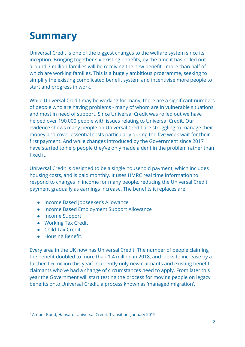# **Summary**

Universal Credit is one of the biggest changes to the welfare system since its inception. Bringing together six existing benefits, by the time it has rolled out around 7 million families will be receiving the new benefit - more than half of which are working families. This is a hugely ambitious programme, seeking to simplify the existing complicated benefit system and incentivise more people to start and progress in work.

While Universal Credit may be working for many, there are a significant numbers of people who are having problems - many of whom are in vulnerable situations and most in need of support. Since Universal Credit was rolled out we have helped over 190,000 people with issues relating to Universal Credit. Our evidence shows many people on Universal Credit are struggling to manage their money and cover essential costs particularly during the five week wait for their first payment. And while changes introduced by the Government since 2017 have started to help people they've only made a dent in the problem rather than fixed it.

Universal Credit is designed to be a single household payment, which includes housing costs, and is paid monthly. It uses HMRC real time information to respond to changes in income for many people, reducing the Universal Credit payment gradually as earnings increase. The benefits it replaces are:

- Income Based Jobseeker's Allowance
- Income Based Employment Support Allowance
- Income Support
- Working Tax Credit
- Child Tax Credit
- Housing Benefit.

Every area in the UK now has Universal Credit. The number of people claiming the benefit doubled to more than 1.4 million in 2018, and looks to increase by a further 1.6 million this year<sup>1</sup>. Currently only new claimants and existing benefit claimants who've had a change of circumstances need to apply. From later this year the Government will start testing the process for moving people on legacy benefits onto Universal Credit, a process known as 'managed migration'.

<sup>1</sup> Amber Rudd, Hansard, Universal Credit: [Transition,](https://hansard.parliament.uk/Commons/2019-01-07/debates/329ADE07-8849-46C0-8F2C-04571D568FAA/UniversalCreditTransition#contribution-A9ED78CF-4E9C-410C-8653-0E929943E72F) January 2019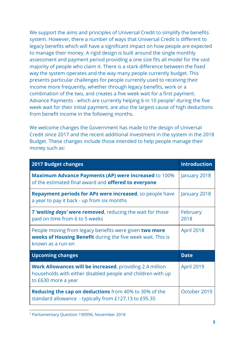We support the aims and principles of Universal Credit to simplify the benefits system. However, there a number of ways that Universal Credit is different to legacy benefits which will have a significant impact on how people are expected to manage their money. A rigid design is built around the single monthly assessment and payment period providing a one size fits all model for the vast majority of people who claim it. There is a stark difference between the fixed way the system operates and the way many people currently budget. This presents particular challenges for people currently used to receiving their income more frequently, whether through legacy benefits, work or a combination of the two, and creates a five week wait for a first payment. Advance Payments - which are currently helping 6 in 10 people<sup>2</sup> during the five week wait for their initial payment, are also the largest cause of high deductions from benefit income in the following months.

We welcome changes the Government has made to the design of Universal Credit since 2017 and the recent additional investment in the system in the 2018 Budget. These changes include those intended to help people manage their money such as:

| <b>2017 Budget changes</b>                                                                                                                            | <b>Introduction</b> |
|-------------------------------------------------------------------------------------------------------------------------------------------------------|---------------------|
| <b>Maximum Advance Payments (AP) were increased to 100%</b><br>of the estimated final award and <b>offered to everyone</b>                            | January 2018        |
| <b>Repayment periods for APs were increased, so people have</b><br>a year to pay it back - up from six months                                         | January 2018        |
| 7 'waiting days' were removed, reducing the wait for those<br>paid on time from 6 to 5 weeks                                                          | February<br>2018    |
| People moving from legacy benefits were given <b>two more</b><br>weeks of Housing Benefit during the five week wait. This is<br>known as a run-on     | April 2018          |
| <b>Upcoming changes</b>                                                                                                                               | <b>Date</b>         |
| <b>Work Allowances will be increased, providing 2.4 million</b><br>households with either disabled people and children with up<br>to £630 more a year | April 2019          |
| <b>Reducing the cap on deductions</b> from 40% to 30% of the<br>standard allowance - typically from £127.13 to £95.35                                 | October 2019        |

<sup>2</sup> Parliamentary Question [190996,](https://www.parliament.uk/business/publications/written-questions-answers-statements/written-question/Commons/2018-11-13/190906/) November 2018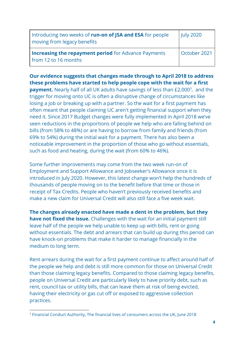| Introducing two weeks of run-on of JSA and ESA for people<br>moving from legacy benefits | <b>July 2020</b> |
|------------------------------------------------------------------------------------------|------------------|
| <b>Increasing the repayment period</b> for Advance Payments<br>from 12 to 16 months      | October 2021     |

**Our evidence suggests that changes made through to April 2018 to address these problems have started to help people cope with the wait for a first payment.** Nearly half of all UK adults have savings of less than £2,000<sup>3</sup>, and the trigger for moving onto UC is often a disruptive change of circumstances like losing a job or breaking up with a partner. So the wait for a first payment has often meant that people claiming UC aren't getting financial support when they need it. Since 2017 Budget changes were fully implemented in April 2018 we've seen reductions in the proportions of people we help who are falling behind on

bills (from 58% to 48%) or are having to borrow from family and friends (from 69% to 54%) during the initial wait for a payment. There has also been a noticeable improvement in the proportion of those who go without essentials, such as food and heating, during the wait (from 60% to 46%).

Some further improvements may come from the two week run-on of Employment and Support Allowance and Jobseeker's Allowance once it is introduced in July 2020. However, this latest change won't help the hundreds of thousands of people moving on to the benefit before that time or those in receipt of Tax Credits. People who haven't previously received benefits and make a new claim for Universal Credit will also still face a five week wait.

**The changes already enacted have made a dent in the problem, but they have not fixed the issue.** Challenges with the wait for an initial payment still leave half of the people we help unable to keep up with bills, rent or going without essentials. The debt and arrears that can build up during this period can have knock-on problems that make it harder to manage financially in the medium to long term.

Rent arrears during the wait for a first payment continue to affect around half of the people we help and debt is still more common for those on Universal Credit than those claiming legacy benefits. Compared to those claiming legacy benefits, people on Universal Credit are particularly likely to have priority debt, such as rent, council tax or utility bills, that can leave them at risk of being evicted, having their electricity or gas cut off or exposed to aggressive collection practices.

<sup>&</sup>lt;sup>3</sup> Financial Conduct Authority, The financial lives of consumers across the UK, June 2018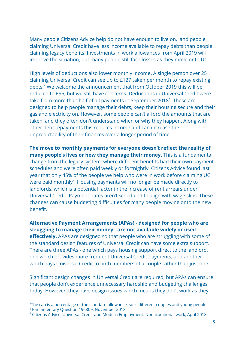Many people Citizens Advice help do not have enough to live on, and people claiming Universal Credit have less income available to repay debts than people claiming legacy benefits. Investments in work allowances from April 2019 will improve the situation, but many people still face losses as they move onto UC.

High levels of deductions also lower monthly income**.** A single person over 25 claiming Universal Credit can see up to £127 taken per month to repay existing debts.<sup>4</sup> We welcome the announcement that from October 2019 this will be reduced to £95, but we still have concerns. Deductions in Universal Credit were take from more than half of all payments in September 2018<sup>5</sup>. These are designed to help people manage their debts, keep their housing secure and their gas and electricity on. However, some people can't afford the amounts that are taken, and they often don't understand when or why they happen. Along with other debt repayments this reduces income and can increase the unpredictability of their finances over a longer period of time.

**The move to monthly payments for everyone doesn't reflect the reality of many people's lives or how they manage their money.** This is a fundamental change from the legacy system, where different benefits had their own payment schedules and were often paid weekly or fortnightly. Citizens Advice found last year that only 45% of the people we help who were in work before claiming UC were paid monthly<sup>6</sup>. Housing payments will no longer be made directly to landlords, which is a potential factor in the increase of rent arrears under Universal Credit. Payment dates aren't scheduled to align with wage slips. These changes can cause budgeting difficulties for many people moving onto the new benefit.

**Alternative Payment Arrangements (APAs) - designed for people who are struggling to manage their money - are not available widely or used effectively.** APAs are designed so that people who are struggling with some of the standard design features of Universal Credit can have some extra support. There are three APAs - one which pays housing support direct to the landlord, one which provides more frequent Universal Credit payments, and another which pays Universal Credit to both members of a couple rather than just one.

Significant design changes in Universal Credit are required, but APAs can ensure that people don't experience unnecessary hardship and budgeting challenges today. However, they have design issues which means they don't work as they

<sup>&</sup>lt;sup>4</sup>The cap is a percentage of the standard allowance, so is different couples and young people <sup>5</sup> Parliamentary Question [196809,](https://www.parliament.uk/business/publications/written-questions-answers-statements/written-question/Commons/2018-11-28/196809/) November 2018

<sup>6</sup> Citizens Advice, Universal Credit and Modern Employment: Non-traditional work, April 2018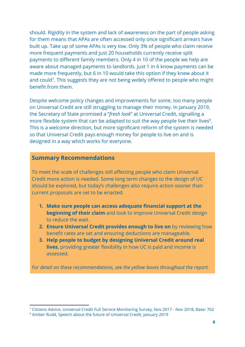should. Rigidity in the system and lack of awareness on the part of people asking for them means that APAs are often accessed only once significant arrears have built up. Take up of some APAs is very low. Only 3% of people who claim receive more frequent payments and just 20 households currently receive split payments to different family members. Only 4 in 10 of the people we help are aware about managed payments to landlords. Just 1 in 6 know payments can be made more frequently, but 6 in 10 would take this option if they knew about it and could<sup>7</sup>. This suggests they are not being widely offered to people who might benefit from them.

Despite welcome policy changes and improvements for some, too many people on Universal Credit are still struggling to manage their money. In January 2019, the Secretary of State promised a "*fresh look*" at Universal Credit, signalling a more flexible system that can be adapted to suit the way people live their lives $8$ . This is a welcome direction, but more significant reform of the system is needed so that Universal Credit pays enough money for people to live on and is designed in a way which works for everyone.

# **Summary Recommendations**

To meet the scale of challenges still affecting people who claim Universal Credit more action is needed. Some long term changes to the design of UC should be explored, but today's challenges also require action sooner than current proposals are set to be enacted.

- **1. Make sure people can access adequate financial support at the beginning of their claim** and look to improve Universal Credit design to reduce the wait.
- **2. Ensure Universal Credit provides enough to live on** by reviewing how benefit rates are set and ensuring deductions are manageable.
- **3. Help people to budget by designing Universal Credit around real lives**, providing greater flexibility in how UC is paid and income is assessed.

*For detail on these recommendations, see the yellow boxes throughout the report.*

<sup>7</sup> Citizens Advice, Universal Credit Full Service Monitoring Survey, Nov 2017 - Nov 2018, Base: 762

<sup>8</sup> Amber Rudd, Speech about the future of [Universal](https://www.gov.uk/government/speeches/universal-credit-personal-welfare) Credit, January 2019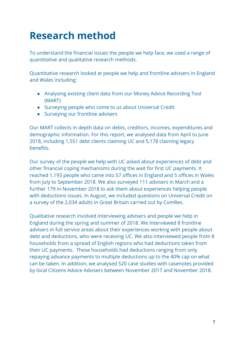# **Research method**

To understand the financial issues the people we help face, we used a range of quantitative and qualitative research methods.

Quantitative research looked at people we help and frontline advisers in England and Wales including:

- Analysing existing client data from our Money Advice Recording Tool (MART)
- Surveying people who come to us about Universal Credit
- Surveying our frontline advisers

Our MART collects in depth data on debts, creditors, incomes, expenditures and demographic information. For this report, we analysed data from April to June 2018, including 1,551 debt clients claiming UC and 5,178 claiming legacy benefits.

Our survey of the people we help with UC asked about experiences of debt and other financial coping mechanisms during the wait for first UC payments. It reached 1,193 people who came into 57 offices in England and 5 offices in Wales from July to September 2018. We also surveyed 111 advisers in March and a further 179 in November 2018 to ask them about experiences helping people with deductions issues. In August, we included questions on Universal Credit on a survey of the 2,034 adults in Great Britain carried out by ComRes.

Qualitative research involved interviewing advisers and people we help in England during the spring and summer of 2018. We interviewed 8 frontline advisers in full service areas about their experiences working with people about debt and deductions, who were receiving UC. We also interviewed people from 8 households from a spread of English regions who had deductions taken from their UC payments. These households had deductions ranging from only repaying advance payments to multiple deductions up to the 40% cap on what can be taken. In addition, we analysed 520 case studies with casenotes provided by local Citizens Advice Advisers between November 2017 and November 2018.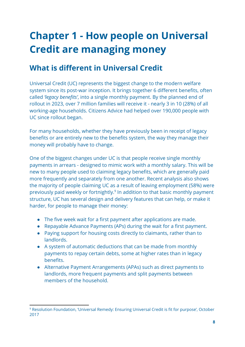# **Chapter 1 - How people on Universal Credit are managing money**

# **What is different in Universal Credit**

Universal Credit (UC) represents the biggest change to the modern welfare system since its post-war inception. It brings together 6 different benefits, often called *'legacy benefits'*, into a single monthly payment. By the planned end of rollout in 2023, over 7 million families will receive it - nearly 3 in 10 (28%) of all working-age households. Citizens Advice had helped over 190,000 people with UC since rollout began.

For many households, whether they have previously been in receipt of legacy benefits or are entirely new to the benefits system, the way they manage their money will probably have to change.

One of the biggest changes under UC is that people receive single monthly payments in arrears - designed to mimic work with a monthly salary. This will be new to many people used to claiming legacy benefits, which are generally paid more frequently and separately from one another. Recent analysis also shows the majority of people claiming UC as a result of leaving employment (58%) were previously paid weekly or fortnightly.<sup>9</sup> In addition to that basic monthly payment structure, UC has several design and delivery features that can help, or make it harder, for people to manage their money:

- The five week wait for a first payment after applications are made.
- Repayable Advance Payments (APs) during the wait for a first payment.
- Paying support for housing costs directly to claimants, rather than to landlords.
- A system of automatic deductions that can be made from monthly payments to repay certain debts, some at higher rates than in legacy benefits.
- Alternative Payment Arrangements (APAs) such as direct payments to landlords, more frequent payments and split payments between members of the household.

<sup>9</sup> Resolution Foundation, 'Universal Remedy: Ensuring [Universal](https://www.resolutionfoundation.org/app/uploads/2017/10/Universal-Credit.pdf) Credit is fit for purpose', October 2017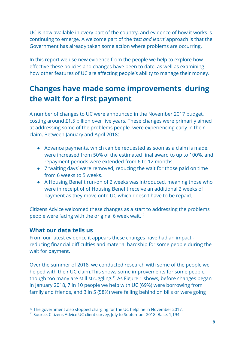UC is now available in every part of the country, and evidence of how it works is continuing to emerge. A welcome part of the *'test and learn'* approach is that the Government has already taken some action where problems are occurring.

In this report we use new evidence from the people we help to explore how effective these policies and changes have been to date, as well as examining how other features of UC are affecting people's ability to manage their money.

# **Changes have made some improvements during the wait for a first payment**

A number of changes to UC were announced in the November 2017 budget, costing around £1.5 billion over five years. These changes were primarily aimed at addressing some of the problems people were experiencing early in their claim. Between January and April 2018:

- Advance payments, which can be requested as soon as a claim is made, were increased from 50% of the estimated final award to up to 100%, and repayment periods were extended from 6 to 12 months.
- 7 'waiting days' were removed, reducing the wait for those paid on time from 6 weeks to 5 weeks.
- A Housing Benefit run-on of 2 weeks was introduced, meaning those who were in receipt of of Housing Benefit receive an additional 2 weeks of payment as they move onto UC which doesn't have to be repaid.

Citizens Advice welcomed these changes as a start to addressing the problems people were facing with the original 6 week wait.<sup>10</sup>

# **What our data tells us**

From our latest evidence it appears these changes have had an impact reducing financial difficulties and material hardship for some people during the wait for payment.

Over the summer of 2018, we conducted research with some of the people we helped with their UC claim.This shows some improvements for some people, though too many are still struggling.<sup>11</sup> As Figure 1 shows, before changes began in January 2018, 7 in 10 people we help with UC (69%) were borrowing from family and friends, and 3 in 5 (58%) were falling behind on bills or were going

<sup>&</sup>lt;sup>10</sup> The government also stopped charging for the UC helpline in November 2017,

<sup>&</sup>lt;sup>11</sup> Source: Citizens Advice UC client survey, July to September 2018. Base: 1,194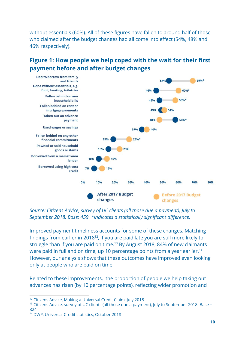without essentials (60%). All of these figures have fallen to around half of those who claimed after the budget changes had all come into effect (54%, 48% and 46% respectively).

# **Figure 1: How people we help coped with the wait for their first payment before and after budget changes**



*Source: Citizens Advice, survey of UC clients (all those due a payment), July to September 2018. Base: 459. \*Indicates a statistically significant difference.*

Improved payment timeliness accounts for some of these changes. Matching findings from earlier in 2018 $^{12}$ , if you are paid late you are still more likely to struggle than if you are paid on time.<sup>13</sup> By August 2018, 84% of new claimants were paid in full and on time, up 10 percentage points from a year earlier.<sup>14</sup> However, our analysis shows that these outcomes have improved even looking only at people who are paid on time.

Related to these improvements, the proportion of people we help taking out advances has risen (by 10 percentage points), reflecting wider promotion and

<sup>&</sup>lt;sup>12</sup> Citizens Advice, Making a [Universal](https://www.citizensadvice.org.uk/about-us/policy/policy-research-topics/welfare-policy-research-surveys-and-consultation-responses/welfare-policy-research/making-a-universal-credit-claim/) Credit Claim, July 2018

 $13$  Citizens Advice, survey of UC clients (all those due a payment), July to September 2018. Base = 824

<sup>14</sup> DWP, [Universal](https://assets.publishing.service.gov.uk/government/uploads/system/uploads/attachment_data/file/755723/universal-credit-statistics-to-11-october-2018.pdf) Credit statistics, October 2018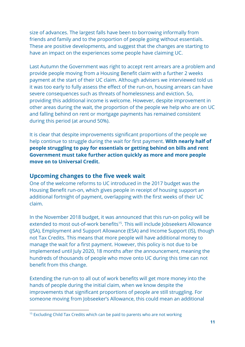size of advances. The largest falls have been to borrowing informally from friends and family and to the proportion of people going without essentials. These are positive developments, and suggest that the changes are starting to have an impact on the experiences some people have claiming UC.

Last Autumn the Government was right to accept rent arrears are a problem and provide people moving from a Housing Benefit claim with a further 2 weeks payment at the start of their UC claim. Although advisers we interviewed told us it was too early to fully assess the effect of the run-on, housing arrears can have severe consequences such as threats of homelessness and eviction. So, providing this additional income is welcome. However, despite improvement in other areas during the wait, the proportion of the people we help who are on UC and falling behind on rent or mortgage payments has remained consistent during this period (at around 50%).

It is clear that despite improvements significant proportions of the people we help continue to struggle during the wait for first payment. **With nearly half of people struggling to pay for essentials or getting behind on bills and rent Government must take further action quickly as more and more people move on to Universal Credit.**

# **Upcoming changes to the five week wait**

One of the welcome reforms to UC introduced in the 2017 budget was the Housing Benefit run-on, which gives people in receipt of housing support an additional fortnight of payment, overlapping with the first weeks of their UC claim.

In the November 2018 budget, it was announced that this run-on policy will be extended to most out-of-work benefits<sup>15</sup>. This will include Jobseekers Allowance (JSA), Employment and Support Allowance (ESA) and Income Support (IS), though not Tax Credits. This means that more people will have additional money to manage the wait for a first payment. However, this policy is not due to be implemented until July 2020, 18 months after the announcement, meaning the hundreds of thousands of people who move onto UC during this time can not benefit from this change.

Extending the run-on to all out of work benefits will get more money into the hands of people during the initial claim, when we know despite the improvements that significant proportions of people are still struggling. For someone moving from Jobseeker's Allowance, this could mean an additional

<sup>&</sup>lt;sup>15</sup> Excluding Child Tax Credits which can be paid to parents who are not working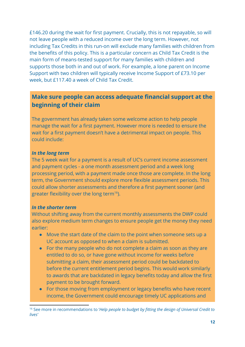£146.20 during the wait for first payment. Crucially, this is not repayable, so will not leave people with a reduced income over the long term. However, not including Tax Credits in this run-on will exclude many families with children from the benefits of this policy. This is a particular concern as Child Tax Credit is the main form of means-tested support for many families with children and supports those both in and out of work. For example, a lone parent on Income Support with two children will typically receive Income Support of £73.10 per week, but £117.40 a week of Child Tax Credit.

# **Make sure people can access adequate financial support at the beginning of their claim**

The government has already taken some welcome action to help people manage the wait for a first payment. However more is needed to ensure the wait for a first payment doesn't have a detrimental impact on people. This could include:

#### *In the long term*

The 5 week wait for a payment is a result of UC's current income assessment and payment cycles - a one month assessment period and a week long processing period, with a payment made once those are complete. In the long term, the Government should explore more flexible assessment periods. This could allow shorter assessments and therefore a first payment sooner (and greater flexibility over the long term<sup>16</sup>).

#### *In the shorter term*

Without shifting away from the current monthly assessments the DWP could also explore medium term changes to ensure people get the money they need earlier:

- Move the start date of the claim to the point when someone sets up a UC account as opposed to when a claim is submitted.
- For the many people who do not complete a claim as soon as they are entitled to do so, or have gone without income for weeks before submitting a claim, their assessment period could be backdated to before the current entitlement period begins. This would work similarly to awards that are backdated in legacy benefits today and allow the first payment to be brought forward.
- For those moving from employment or legacy benefits who have recent income, the Government could encourage timely UC applications and

<sup>16</sup> See more in recommendations to '*Help people to budget by fitting the design of Universal Credit to lives'*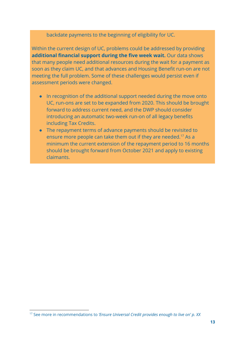backdate payments to the beginning of eligibility for UC.

Within the current design of UC, problems could be addressed by providing **additional financial support during the five week wait.** Our data shows that many people need additional resources during the wait for a payment as soon as they claim UC, and that advances and Housing Benefit run-on are not meeting the full problem. Some of these challenges would persist even if assessment periods were changed.

- In recognition of the additional support needed during the move onto UC, run-ons are set to be expanded from 2020. This should be brought forward to address current need, and the DWP should consider introducing an automatic two-week run-on of all legacy benefits including Tax Credits.
- The repayment terms of advance payments should be revisited to ensure more people can take them out if they are needed.<sup>17</sup> As a minimum the current extension of the repayment period to 16 months should be brought forward from October 2021 and apply to existing claimants.

<sup>17</sup> See more in recommendations to *'Ensure Universal Credit provides enough to live on' p. XX*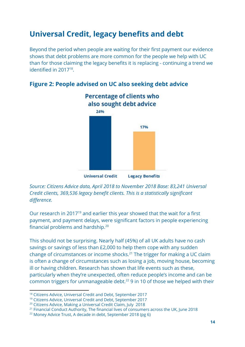# **Universal Credit, legacy benefits and debt**

Beyond the period when people are waiting for their first payment our evidence shows that debt problems are more common for the people we help with UC than for those claiming the legacy benefits it is replacing - continuing a trend we identified in  $2017^{18}$ .



# **Figure 2: People advised on UC also seeking debt advice**

*Source: Citizens Advice data, April 2018 to November 2018 Base: 83,241 Universal Credit clients, 369,536 legacy benefit clients. This is a statistically significant difference.*

Our research in 2017 $19$  and earlier this year showed that the wait for a first payment, and payment delays, were significant factors in people experiencing financial problems and hardship.<sup>20</sup>

This should not be surprising. Nearly half (45%) of all UK adults have no cash savings or savings of less than £2,000 to help them cope with any sudden change of circumstances or income shocks.<sup>21</sup> The trigger for making a UC claim is often a change of circumstances such as losing a job, moving house, becoming ill or having children. Research has shown that life events such as these, particularly when they're unexpected, often reduce people's income and can be common triggers for unmanageable debt.<sup>22</sup> 9 in 10 of those we helped with their

<sup>18</sup> Citizens Advice, [Universal](https://www.citizensadvice.org.uk/about-us/policy/policy-research-topics/debt-and-money-policy-research/universal-credit-and-debt/) Credit and Debt, September 2017

<sup>19</sup> Citizens Advice, [Universal](https://www.citizensadvice.org.uk/about-us/policy/policy-research-topics/debt-and-money-policy-research/universal-credit-and-debt/) Credit and Debt, September 2017

<sup>&</sup>lt;sup>20</sup> Citizens Advice, Making a [Universal](https://www.citizensadvice.org.uk/about-us/policy/policy-research-topics/welfare-policy-research-surveys-and-consultation-responses/welfare-policy-research/making-a-universal-credit-claim/) Credit Claim, July 2018

 $21$  Financial Conduct Authority, The financial lives of consumers across the UK, June 2018

<sup>22</sup> Money Advice Trust, A [decade](http://www.moneyadvicetrust.org/researchpolicy/research/Documents/Money%20Advice%20Trust%2C%20A%20decade%20in%20debt%2C%20September%202018.pdf) in debt, September 2018 (pg 6)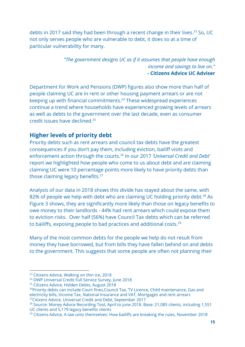debts in 2017 said they had been through a recent change in their lives.<sup>23</sup> So, UC not only serves people who are vulnerable to debt, it does so at a time of particular vulnerability for many.

> *"The government designs UC as if it assumes that people have enough income and savings to live on."* **- Citizens Advice UC Adviser**

Department for Work and Pensions (DWP) figures also show more than half of people claiming UC are in rent or other housing payment arrears or are not keeping up with financial commitments. $24$  These widespread experiences continue a trend where households have experienced growing levels of arrears as well as debts to the government over the last decade, even as consumer credit issues have declined.<sup>25</sup>

# **Higher levels of priority debt**

Priority debts such as rent arrears and council tax debts have the greatest consequences if you don't pay them, including eviction, bailiff visits and enforcement action through the courts.<sup>26</sup> In our 2017 *'Universal Credit and Debt'* report we highlighted how people who come to us about debt and are claiming claiming UC were 10 percentage points more likely to have priority debts than those claiming legacy benefits.<sup>27</sup>

Analysis of our data in 2018 shows this divide has stayed about the same, with 82% of people we help with debt who are claiming UC holding priority debt.<sup>28</sup> As Figure 3 shows, they are significantly more likely than those on legacy benefits to owe money to their landlords - 44% had rent arrears which could expose them to eviction risks. Over half (56%) have Council Tax debts which can be referred to bailiffs, exposing people to bad practices and additional costs.<sup>29</sup>

Many of the most common debts for the people we help do not result from money they have borrowed, but from bills they have fallen behind on and debts to the government. This suggests that some people are often not planning their

<sup>&</sup>lt;sup>23</sup> Citizens Advice, [Walking](https://www.citizensadvice.org.uk/Global/CitizensAdvice/Debt%20and%20Money%20Publications/Walking%20on%20thin%20ice%20-%20full%20report.pdf) on thin ice, 2018

<sup>&</sup>lt;sup>24</sup> DWP Universal Credit Full [Service](https://assets.publishing.service.gov.uk/government/uploads/system/uploads/attachment_data/file/714842/universal-credit-full-service-claimant-survey.pdf) Survey, June 2018

<sup>&</sup>lt;sup>25</sup> Citizens Advice, [Hidden](https://www.citizensadvice.org.uk/Global/CitizensAdvice/Debt%20and%20Money%20Publications/Hidden%20Debts%20report.pdf) Debts, August 2018

<sup>&</sup>lt;sup>26</sup>Priority debts can include Court fines, Council Tax, TV Licence, Child maintenance, Gas and electricity bills, Income Tax, National Insurance and VAT, Mortgages and rent arrears <sup>27</sup>Citizens Advice, [Universal](https://www.citizensadvice.org.uk/about-us/policy/policy-research-topics/welfare-policy-research-surveys-and-consultation-responses/welfare-policy-research/universal-credit-and-debt/) Credit and Debt, September 2017

<sup>&</sup>lt;sup>28</sup> Source: Money Advice Recording Tool, April to June 2018. Base: 21,085 clients, including 1,551 UC clients and 5,179 legacy benefits clients

 $29$  Citizens Advice, A law unto [themselves:](https://www.citizensadvice.org.uk/about-us/policy/policy-research-topics/debt-and-money-policy-research/a-law-unto-themselves-how-bailiffs-are-breaking-the-rules/) How bailiffs are breaking the rules, November 2018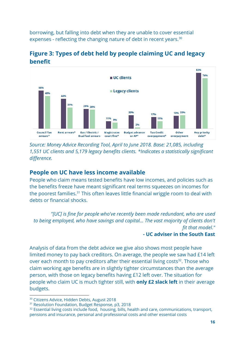borrowing, but falling into debt when they are unable to cover essential expenses - reflecting the changing nature of debt in recent years.<sup>30</sup>



**Figure 3: Types of debt held by people claiming UC and legacy benefit**

*Source: Money Advice Recording Tool, April to June 2018. Base: 21,085, including 1,551 UC clients and 5,179 legacy benefits clients. \*Indicates a statistically significant difference.*

# **People on UC have less income available**

People who claim means tested benefits have low incomes, and policies such as the benefits freeze have meant significant real terms squeezes on incomes for the poorest families. $31$  This often leaves little financial wriggle room to deal with debts or financial shocks.

*"[UC] is fine for people who've recently been made redundant, who are used to being employed, who have savings and capital... The vast majority of clients don't fit that model." -* **UC adviser in the South East**

Analysis of data from the debt advice we give also shows most people have limited money to pay back creditors. On average, the people we saw had £14 left over each month to pay creditors after their essential living costs<sup>32</sup>. Those who claim working age benefits are in slightly tighter circumstances than the average person, with those on legacy benefits having £12 left over. The situation for people who claim UC is much tighter still, with **only £2 slack left** in their average budgets.

<sup>&</sup>lt;sup>30</sup> Citizens Advice, [Hidden](https://www.citizensadvice.org.uk/Global/CitizensAdvice/Debt%20and%20Money%20Publications/Hidden%20Debts%20report.pdf) Debts, August 2018

<sup>&</sup>lt;sup>31</sup> Resolution Foundation, Budget [Response](https://www.resolutionfoundation.org/app/uploads/2018/10/How-to-spend-it-RF-Report.pdf), p3, 2018

<sup>&</sup>lt;sup>32</sup> Essential living costs include food, housing, bills, health and care, communications, transport, pensions and insurance, personal and professional costs and other essential costs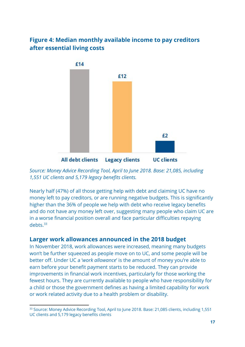# **Figure 4: Median monthly available income to pay creditors after essential living costs**



*Source: Money Advice Recording Tool, April to June 2018. Base: 21,085, including 1,551 UC clients and 5,179 legacy benefits clients.*

Nearly half (47%) of all those getting help with debt and claiming UC have no money left to pay creditors, or are running negative budgets. This is significantly higher than the 36% of people we help with debt who receive legacy benefits and do not have any money left over, suggesting many people who claim UC are in a worse financial position overall and face particular difficulties repaying debts.<sup>33</sup>

# **Larger work allowances announced in the 2018 budget**

In November 2018, work allowances were increased, meaning many budgets won't be further squeezed as people move on to UC, and some people will be better off. Under UC a '*work allowance*' is the amount of money you're able to earn before your benefit payment starts to be reduced. They can provide improvements in financial work incentives, particularly for those working the fewest hours. They are currently available to people who have responsibility for a child or those the government defines as having a limited capability for work or work related activity due to a health problem or disability.

<sup>&</sup>lt;sup>33</sup> Source: Money Advice Recording Tool, April to June 2018. Base: 21,085 clients, including 1,551 UC clients and 5,179 legacy benefits clients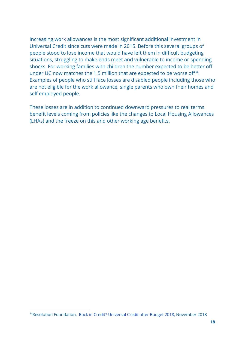Increasing work allowances is the most significant additional investment in Universal Credit since cuts were made in 2015. Before this several groups of people stood to lose income that would have left them in difficult budgeting situations, struggling to make ends meet and vulnerable to income or spending shocks. For working families with children the number expected to be better off under UC now matches the 1.5 million that are expected to be worse of  $f^{34}$ . Examples of people who still face losses are disabled people including those who are not eligible for the work allowance, single parents who own their homes and self employed people.

These losses are in addition to continued downward pressures to real terms benefit levels coming from policies like the changes to Local Housing Allowances (LHAs) and the freeze on this and other working age benefits.

<sup>&</sup>lt;sup>34</sup>Resolution Foundation, Back in Credit? [Universal](https://www.resolutionfoundation.org/publications/back-in-credit-universal-credit-after-budget-2018/) Credit after Budget 2018, November 2018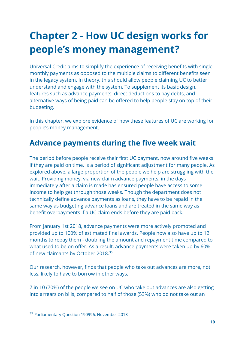# **Chapter 2 - How UC design works for people's money management?**

Universal Credit aims to simplify the experience of receiving benefits with single monthly payments as opposed to the multiple claims to different benefits seen in the legacy system. In theory, this should allow people claiming UC to better understand and engage with the system. To supplement its basic design, features such as advance payments, direct deductions to pay debts, and alternative ways of being paid can be offered to help people stay on top of their budgeting.

In this chapter, we explore evidence of how these features of UC are working for people's money management.

# **Advance payments during the five week wait**

The period before people receive their first UC payment, now around five weeks if they are paid on time, is a period of significant adjustment for many people. As explored above, a large proportion of the people we help are struggling with the wait. Providing money, via new claim advance payments, in the days immediately after a claim is made has ensured people have access to some income to help get through those weeks. Though the department does not technically define advance payments as loans, they have to be repaid in the same way as budgeting advance loans and are treated in the same way as benefit overpayments if a UC claim ends before they are paid back.

From January 1st 2018, advance payments were more actively promoted and provided up to 100% of estimated final awards. People now also have up to 12 months to repay them - doubling the amount and repayment time compared to what used to be on offer. As a result, advance payments were taken up by 60% of new claimants by October 2018.<sup>35</sup>

Our research, however, finds that people who take out advances are more, not less, likely to have to borrow in other ways.

7 in 10 (70%) of the people we see on UC who take out advances are also getting into arrears on bills, compared to half of those (53%) who do not take out an

<sup>&</sup>lt;sup>35</sup> Parliamentary Question [190996](https://www.parliament.uk/business/publications/written-questions-answers-statements/written-question/Commons/2018-11-13/190906/), November 2018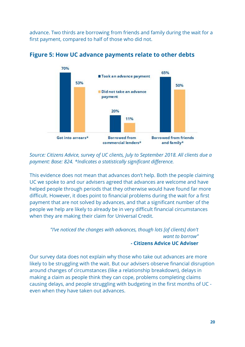advance. Two thirds are borrowing from friends and family during the wait for a first payment, compared to half of those who did not.



# **Figure 5: How UC advance payments relate to other debts**

*Source: Citizens Advice, survey of UC clients, July to September 2018. All clients due a payment: Base: 824. \*Indicates a statistically significant difference.*

This evidence does not mean that advances don't help. Both the people claiming UC we spoke to and our advisers agreed that advances are welcome and have helped people through periods that they otherwise would have found far more difficult. However, it does point to financial problems during the wait for a first payment that are not solved by advances, and that a significant number of the people we help are likely to already be in very difficult financial circumstances when they are making their claim for Universal Credit.

## *"I've noticed the changes with advances, though lots [of clients] don't want to borrow" -* **Citizens Advice UC Adviser**

Our survey data does not explain why those who take out advances are more likely to be struggling with the wait. But our advisers observe financial disruption around changes of circumstances (like a relationship breakdown), delays in making a claim as people think they can cope, problems completing claims causing delays, and people struggling with budgeting in the first months of UC even when they have taken out advances.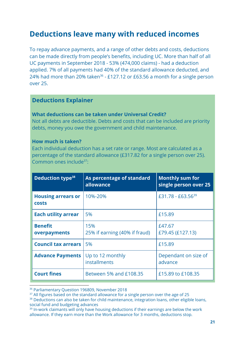# **Deductions leave many with reduced incomes**

To repay advance payments, and a range of other debts and costs, deductions can be made directly from people's benefits, including UC. More than half of all UC payments in September 2018 - 53% (474,000 claims) - had a deduction applied. 7% of all payments had 40% of the standard allowance deducted, and 24% had more than 20% taken<sup>36</sup> - £127.12 or £63.56 a month for a single person over 25.

# **Deductions Explainer**

#### **What deductions can be taken under Universal Credit?**

Not all debts are deductible. Debts and costs that can be included are priority debts, money you owe the government and child maintenance.

#### **How much is taken?**

Each individual deduction has a set rate or range. Most are calculated as a percentage of the standard allowance (£317.82 for a single person over 25). Common ones include $37$ :

| Deduction type <sup>38</sup>              | As percentage of standard<br>allowance | <b>Monthly sum for</b><br>single person over 25 |
|-------------------------------------------|----------------------------------------|-------------------------------------------------|
| <b>Housing arrears or</b><br><b>costs</b> | 10%-20%                                | £31.78 - £63.56 <sup>39</sup>                   |
| <b>Each utility arrear</b>                | 5%                                     | £15.89                                          |
| <b>Benefit</b><br>overpayments            | 15%<br>25% if earning (40% if fraud)   | £47.67<br>£79.45 (£127.13)                      |
| <b>Council tax arrears</b>                | 5%                                     | £15.89                                          |
| <b>Advance Payments</b>                   | Up to 12 monthly<br>installments       | Dependant on size of<br>advance                 |
| <b>Court fines</b>                        | Between 5% and £108.35                 | £15.89 to £108.35                               |

<sup>36</sup> Parliamentary Question [196809](https://www.parliament.uk/business/publications/written-questions-answers-statements/written-question/Commons/2018-11-28/196809/), November 2018

<sup>&</sup>lt;sup>37</sup> All figures based on the standard allowance for a single person over the age of 25

<sup>&</sup>lt;sup>38</sup> Deductions can also be taken for child maintenance, integration loans, other eligible loans, social fund and budgeting advances

<sup>&</sup>lt;sup>39</sup> In-work claimants will only have housing deductions if their earnings are below the work allowance. If they earn more than the Work allowance for 3 months, deductions stop.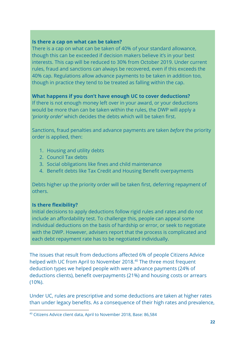#### **Is there a cap on what can be taken?**

There is a cap on what can be taken of 40% of your standard allowance, though this can be exceeded if decision makers believe it's in your best interests. This cap will be reduced to 30% from October 2019. Under current rules, fraud and sanctions can always be recovered, even if this exceeds the 40% cap. Regulations allow advance payments to be taken in addition too, though in practice they tend to be treated as falling within the cap.

# **What happens if you don't have enough UC to cover deductions?**

If there is not enough money left over in your award, or your deductions would be more than can be taken within the rules, the DWP will apply a '*priority order*' which decides the debts which will be taken first.

Sanctions, fraud penalties and advance payments are taken *before* the priority order is applied, then:

- 1. Housing and utility debts
- 2. Council Tax debts
- 3. Social obligations like fines and child maintenance
- 4. Benefit debts like Tax Credit and Housing Benefit overpayments

Debts higher up the priority order will be taken first, deferring repayment of others.

# **Is there flexibility?**

Initial decisions to apply deductions follow rigid rules and rates and do not include an affordability test. To challenge this, people can appeal some individual deductions on the basis of hardship or error, or seek to negotiate with the DWP. However, advisers report that the process is complicated and each debt repayment rate has to be negotiated individually.

The issues that result from deductions affected 6% of people Citizens Advice helped with UC from April to November 2018.<sup>40</sup> The three most frequent deduction types we helped people with were advance payments (24% of deductions clients), benefit overpayments (21%) and housing costs or arrears (10%).

Under UC, rules are prescriptive and some deductions are taken at higher rates than under legacy benefits. As a consequence of their high rates and prevalence,

<sup>40</sup> Citizens Advice client data, April to November 2018, Base: 86,584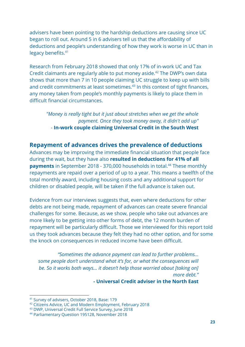advisers have been pointing to the hardship deductions are causing since UC began to roll out. Around 5 in 6 advisers tell us that the affordability of deductions and people's understanding of how they work is worse in UC than in legacy benefits.<sup>41</sup>

Research from February 2018 showed that only 17% of in-work UC and Tax Credit claimants are regularly able to put money aside.<sup>42</sup> The DWP's own data shows that more than 7 in 10 people claiming UC struggle to keep up with bills and credit commitments at least sometimes.<sup>43</sup> In this context of tight finances, any money taken from people's monthly payments is likely to place them in difficult financial circumstances.

*"Money is really tight but it just about stretches when we get the whole payment. Once they took money away, it didn't add up"* - **In-work couple claiming Universal Credit in the South West**

# **Repayment of advances drives the prevalence of deductions**

Advances may be improving the immediate financial situation that people face during the wait, but they have also **resulted in deductions for 41% of all payments** in September 2018 - 370,000 households in total.<sup>44</sup> These monthly repayments are repaid over a period of up to a year. This means a twelfth of the total monthly award, including housing costs and any additional support for children or disabled people, will be taken if the full advance is taken out.

Evidence from our interviews suggests that, even where deductions for other debts are not being made, repayment of advances can create severe financial challenges for some. Because, as we show, people who take out advances are more likely to be getting into other forms of debt, the 12 month burden of repayment will be particularly difficult. Those we interviewed for this report told us they took advances because they felt they had no other option, and for some the knock on consequences in reduced income have been difficult.

*"Sometimes the advance payment can lead to further problems… some people don't understand what it's for, or what the consequences will be. So it works both ways… it doesn't help those worried about [taking on] more debt."*

**- Universal Credit adviser in the North East**

<sup>41</sup> Survey of advisers, October 2018, Base: 179

<sup>&</sup>lt;sup>42</sup> Citizens Advice, UC and Modern Employment, February 2018

<sup>43</sup> DWP, Universal Credit Full [Service](https://assets.publishing.service.gov.uk/government/uploads/system/uploads/attachment_data/file/714842/universal-credit-full-service-claimant-survey.pdf) Survey, June 2018

<sup>44</sup> Parliamentary Question [195128](https://www.parliament.uk/business/publications/written-questions-answers-statements/written-question/Commons/2018-11-23/195128/), November 2018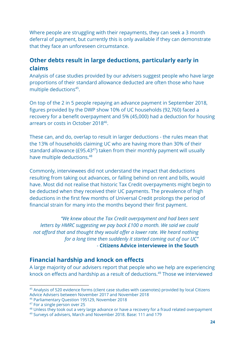Where people are struggling with their repayments, they can seek a 3 month deferral of payment, but currently this is only available if they can demonstrate that they face an unforeseen circumstance.

# **Other debts result in large deductions, particularly early in claims**

Analysis of case studies provided by our advisers suggest people who have large proportions of their standard allowance deducted are often those who have multiple deductions $45$ .

On top of the 2 in 5 people repaying an advance payment in September 2018, figures provided by the DWP show 10% of UC households (92,760) faced a recovery for a benefit overpayment and 5% (45,000) had a deduction for housing arrears or costs in October 2018<sup>46</sup>.

These can, and do, overlap to result in larger deductions - the rules mean that the 13% of households claiming UC who are having more than 30% of their standard allowance (£95.43 $47$ ) taken from their monthly payment will usually have multiple deductions.<sup>48</sup>

Commonly, interviewees did not understand the impact that deductions resulting from taking out advances, or falling behind on rent and bills, would have. Most did not realise that historic Tax Credit overpayments might begin to be deducted when they received their UC payments. The prevalence of high deductions in the first few months of Universal Credit prolongs the period of financial strain for many into the months beyond their first payment.

*"We knew about the Tax Credit overpayment and had been sent letters by HMRC suggesting we pay back £100 a month. We said we could not afford that and thought they would offer a lower rate. We heard nothing for a long time then suddenly it started coming out of our UC" -* **Citizens Advice interviewee in the South**

# **Financial hardship and knock on effects**

A large majority of our advisers report that people who we help are experiencing knock on effects and hardship as a result of deductions.<sup>49</sup> Those we interviewed

<sup>&</sup>lt;sup>45</sup> Analysis of 520 evidence forms (client case studies with casenotes) provided by local Citizens Advice Advisers between November 2017 and November 2018

<sup>46</sup> Parliamentary Question [195129](https://www.parliament.uk/business/publications/written-questions-answers-statements/written-question/Commons/2018-11-23/195129/), November 2018

<sup>47</sup> For a single person over 25

<sup>&</sup>lt;sup>48</sup> Unless they took out a very large advance or have a recovery for a fraud related overpayment

<sup>49</sup> Surveys of advisers, March and November 2018. Base: 111 and 179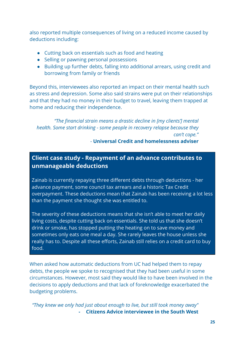also reported multiple consequences of living on a reduced income caused by deductions including:

- Cutting back on essentials such as food and heating
- Selling or pawning personal possessions
- Building up further debts, falling into additional arrears, using credit and borrowing from family or friends

Beyond this, interviewees also reported an impact on their mental health such as stress and depression. Some also said strains were put on their relationships and that they had no money in their budget to travel, leaving them trapped at home and reducing their independence.

*"The financial strain means a drastic decline in [my clients'] mental health. Some start drinking - some people in recovery relapse because they can't cope."*

# *-* **Universal Credit and homelessness adviser**

# **Client case study - Repayment of an advance contributes to unmanageable deductions**

Zainab is currently repaying three different debts through deductions - her advance payment, some council tax arrears and a historic Tax Credit overpayment. These deductions mean that Zainab has been receiving a lot less than the payment she thought she was entitled to.

The severity of these deductions means that she isn't able to meet her daily living costs, despite cutting back on essentials. She told us that she doesn't drink or smoke, has stopped putting the heating on to save money and sometimes only eats one meal a day. She rarely leaves the house unless she really has to. Despite all these efforts, Zainab still relies on a credit card to buy food.

When asked how automatic deductions from UC had helped them to repay debts, the people we spoke to recognised that they had been useful in some circumstances. However, most said they would like to have been involved in the decisions to apply deductions and that lack of foreknowledge exacerbated the budgeting problems.

*"They knew we only had just about enough to live, but still took money away"* **- Citizens Advice interviewee in the South West**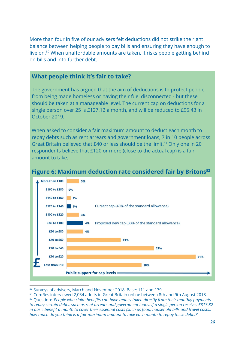More than four in five of our advisers felt deductions did not strike the right balance between helping people to pay bills and ensuring they have enough to live on. $50$  When unaffordable amounts are taken, it risks people getting behind on bills and into further debt.

# **What people think it's fair to take?**

The government has argued that the aim of deductions is to protect people from being made homeless or having their fuel disconnected - but these should be taken at a manageable level. The current cap on deductions for a single person over 25 is £127.12 a month, and will be reduced to £95.43 in October 2019.

When asked to consider a fair maximum amount to deduct each month to repay debts such as rent arrears and government loans, 7 in 10 people across Great Britain believed that  $E$ 40 or less should be the limit.<sup>51</sup> Only one in 20 respondents believe that £120 or more (close to the actual cap) is a fair amount to take.



# **Figure 6: Maximum deduction rate considered fair by Britons 52**

<sup>50</sup> Surveys of advisers, March and November 2018, Base: 111 and 179

<sup>&</sup>lt;sup>51</sup> ComRes interviewed 2,034 adults in Great Britain online between 8th and 9th August 2018.

<sup>52</sup> Question: *'People who claim benefits can have money taken directly from their monthly payments to repay certain debts, such as rent arrears and government loans. If a single person receives £317.82* in basic benefit a month to cover their essential costs (such as food, household bills and travel costs), *how much do you think is a fair maximum amount to take each month to repay these debts?'*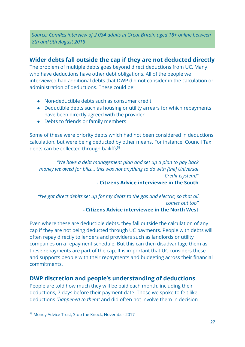*Source: ComRes interview of 2,034 adults in Great Britain aged 18+ online between 8th and 9th August 2018*

# **Wider debts fall outside the cap if they are not deducted directly**

The problem of multiple debts goes beyond direct deductions from UC. Many who have deductions have other debt obligations. All of the people we interviewed had additional debts that DWP did not consider in the calculation or administration of deductions. These could be:

- Non-deductible debts such as consumer credit
- Deductible debts such as housing or utility arrears for which repayments have been directly agreed with the provider
- Debts to friends or family members

Some of these were priority debts which had not been considered in deductions calculation, but were being deducted by other means. For instance, Council Tax debts can be collected through bailiffs<sup>53</sup>.

*"We have a debt management plan and set up a plan to pay back money we owed for bills... this was not anything to do with [the] Universal Credit [system]"*

# **- Citizens Advice interviewee in the South**

*"I've got direct debits set up for my debts to the gas and electric, so that all comes out too"* **- Citizens Advice interviewee in the North West**

Even where these are deductible debts, they fall outside the calculation of any cap if they are not being deducted through UC payments. People with debts will often repay directly to lenders and providers such as landlords or utility companies on a repayment schedule. But this can then disadvantage them as these repayments are part of the cap. It is important that UC considers these and supports people with their repayments and budgeting across their financial commitments.

# **DWP discretion and people's understanding of deductions**

People are told how much they will be paid each month, including their deductions, 7 days before their payment date. Those we spoke to felt like deductions *"happened to them"* and did often not involve them in decision

<sup>53</sup> Money Advice Trust, Stop the [Knock](https://www.stoptheknock.org/), November 2017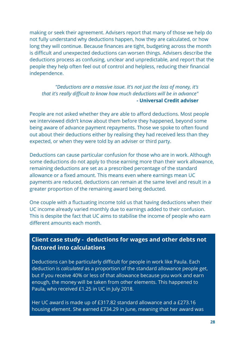making or seek their agreement. Advisers report that many of those we help do not fully understand why deductions happen, how they are calculated, or how long they will continue. Because finances are tight, budgeting across the month is difficult and unexpected deductions can worsen things. Advisers describe the deductions process as confusing, unclear and unpredictable, and report that the people they help often feel out of control and helpless, reducing their financial independence.

# *"Deductions are a massive issue. It's not just the loss of money, it's that it's really difficult to know how much deductions will be in advance"* **- Universal Credit adviser**

People are not asked whether they are able to afford deductions. Most people we interviewed didn't know about them before they happened, beyond some being aware of advance payment repayments. Those we spoke to often found out about their deductions either by realising they had received less than they expected, or when they were told by an adviser or third party.

Deductions can cause particular confusion for those who are in work. Although some deductions do not apply to those earning more than their work allowance, remaining deductions are set as a prescribed percentage of the standard allowance or a fixed amount. This means even where earnings mean UC payments are reduced, deductions can remain at the same level and result in a greater proportion of the remaining award being deducted.

One couple with a fluctuating income told us that having deductions when their UC income already varied monthly due to earnings added to their confusion. This is despite the fact that UC aims to stabilise the income of people who earn different amounts each month.

# **Client case study - deductions for wages and other debts not factored into calculations**

Deductions can be particularly difficult for people in work like Paula. Each deduction is *calculated* as a proportion of the standard allowance people get, but if you receive 40% or less of that allowance because you work and earn enough, the money will be taken from other elements. This happened to Paula, who received £1.25 in UC in July 2018.

Her UC award is made up of £317.82 standard allowance and a £273.16 housing element. She earned £734.29 in June, meaning that her award was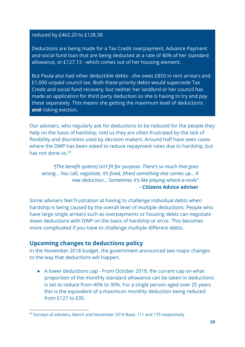reduced by £462.20 to £128.38.

Deductions are being made for a Tax Credit overpayment, Advance Payment and social fund loan that are being deducted at a rate of 40% of her standard allowance, or £127.13 - which comes out of her housing element.

But Paula also had other deductible debts - she owes £850 in rent arrears and £1,000 unpaid council tax. Both these priority debts would supercede Tax Credit and social fund recovery, but neither her landlord or her council has made an application for third party deduction so she is having to try and pay these separately. This means she getting the maximum level of deductions **and** risking eviction.

Our advisers, who regularly ask for deductions to be reduced for the people they help on the basis of hardship, told us they are often frustrated by the lack of flexibility and discretion used by decision makers. Around half have seen cases where the DWP has been asked to reduce repayment rates due to hardship, but has not done so.<sup>54</sup>

*"[The benefit system] isn't fit for purpose. There's so much that goes wrong… You call, negotiate, it's fixed, [then] something else comes up... A new deduction... Sometimes it's like playing whack-a-mole"* **- Citizens Advice adviser**

Some advisers feel frustration at having to challenge individual debts when hardship is being caused by the overall level of multiple deductions. People who have large single arrears such as overpayments or housing debts can negotiate down deductions with DWP on the basis of hardship or error. This becomes more complicated if you have to challenge multiple different debts.

# **Upcoming changes to deductions policy**

In the November 2018 budget, the government announced two major changes to the way that deductions will happen.

• A lower deductions cap - From October 2019, the current cap on what proportion of the monthly standard allowance can be taken in deductions is set to reduce from 40% to 30%. For a single person aged over 25 years this is the equivalent of a maximum monthly deduction being reduced from £127 to £95.

<sup>54</sup> Surveys of advisers, March and November 2018 Base: 111 and 179 respectively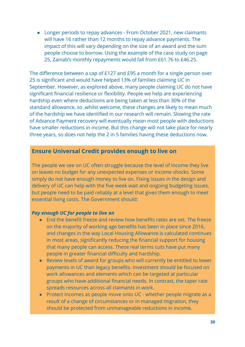● Longer periods to repay advances - From October 2021, new claimants will have 16 rather than 12 months to repay advance payments. The impact of this will vary depending on the size of an award and the sum people choose to borrow. Using the example of the case study on page 25, Zainab's monthly repayments would fall from £61.76 to £46.25.

The difference between a cap of £127 and £95 a month for a single person over 25 is significant and would have helped 13% of families claiming UC in September. However, as explored above, many people claiming UC do not have significant financial resilience or flexibility. People we help are experiencing hardship even where deductions are being taken at less than 30% of the standard allowance, so ,whilst welcome, these changes are likely to mean much of the hardship we have identified in our research will remain. Slowing the rate of Advance Payment recovery will eventually mean most people with deductions have smaller reductions in income. But this change will not take place for nearly three years, so does not help the 2 in 5 families having these deductions now.

# **Ensure Universal Credit provides enough to live on**

The people we see on UC often struggle because the level of income they live on leaves no budget for any unexpected expenses or income shocks. Some simply do not have enough money to live on. Fixing issues in the design and delivery of UC can help with the five week wait and ongoing budgeting issues, but people need to be paid reliably at a level that gives them enough to meet essential living costs. The Government should:

#### *Pay enough UC for people to live on*

- End the benefit freeze and review how benefits rates are set. The freeze on the majority of working age benefits has been in place since 2016, and changes in the way Local Housing Allowance is calculated continues in most areas, significantly reducing the financial support for housing that many people can access. These real terms cuts have put many people in greater financial difficulty and hardship.
- Review levels of award for groups who will currently be entitled to lower payments in UC than legacy benefits. Investment should be focused on work allowances and elements which can be targeted at particular groups who have additional financial needs. In contrast, the taper rate spreads resources across all claimants in work.
- Protect incomes as people move onto UC whether people migrate as a result of a change of circumstances or in managed migration, they should be protected from unmanageable reductions in income.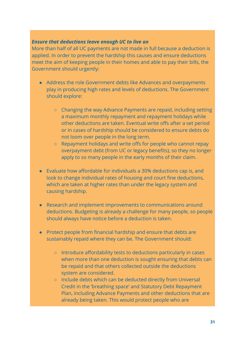#### *Ensure that deductions leave enough UC to live on*

More than half of all UC payments are not made in full because a deduction is applied. In order to prevent the hardship this causes and ensure deductions meet the aim of keeping people in their homes and able to pay their bills, the Government should urgently:

- Address the role Government debts like Advances and overpayments play in producing high rates and levels of deductions. The Government should explore:
	- Changing the way Advance Payments are repaid, including setting a maximum monthly repayment and repayment holidays while other deductions are taken. Eventual write offs after a set period or in cases of hardship should be considered to ensure debts do not loom over people in the long term.
	- Repayment holidays and write offs for people who cannot repay overpayment debt (from UC or legacy benefits), so they no longer apply to so many people in the early months of their claim.
- Evaluate how affordable for individuals a 30% deductions cap is, and look to change individual rates of housing and court fine deductions, which are taken at higher rates than under the legacy system and causing hardship.
- Research and implement improvements to communications around deductions. Budgeting is already a challenge for many people, so people should always have notice before a deduction is taken.
- Protect people from financial hardship and ensure that debts are sustainably repaid where they can be. The Government should:
	- Introduce affordability tests to deductions particularly in cases when more than one deduction is sought ensuring that debts can be repaid and that others collected outside the deductions system are considered.
	- **○** Include debts which can be deducted directly from Universal Credit in the 'breathing space' and Statutory Debt Repayment Plan, including Advance Payments and other deductions that are already being taken. This would protect people who are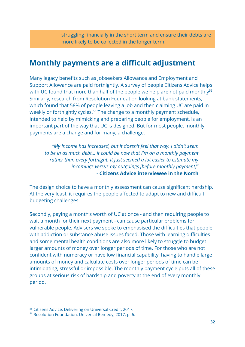struggling financially in the short term and ensure their debts are more likely to be collected in the longer term.

# **Monthly payments are a difficult adjustment**

Many legacy benefits such as Jobseekers Allowance and Employment and Support Allowance are paid fortnightly. A survey of people Citizens Advice helps with UC found that more than half of the people we help are not paid monthly $55$ . Similarly, research from Resolution Foundation looking at bank statements, which found that 58% of people leaving a job and then claiming UC are paid in weekly or fortnightly cycles.<sup>56</sup> The change to a monthly payment schedule, intended to help by mimicking and preparing people for employment, is an important part of the way that UC is designed. But for most people, monthly payments are a change and for many, a challenge.

*"My income has increased, but it doesn't feel that way. I didn't seem to be in as much debt... it could be now that I'm on a monthly payment rather than every fortnight. It just seemed a lot easier to estimate my incomings versus my outgoings [before monthly payment]"* **- Citizens Advice interviewee in the North**

The design choice to have a monthly assessment can cause significant hardship. At the very least, it requires the people affected to adapt to new and difficult budgeting challenges.

Secondly, paying a month's worth of UC at once - and then requiring people to wait a month for their next payment - can cause particular problems for vulnerable people. Advisers we spoke to emphasised the difficulties that people with addiction or substance abuse issues faced. Those with learning difficulties and some mental health conditions are also more likely to struggle to budget larger amounts of money over longer periods of time. For those who are not confident with numeracy or have low financial capability, having to handle large amounts of money and calculate costs over longer periods of time can be intimidating, stressful or impossible. The monthly payment cycle puts all of these groups at serious risk of hardship and poverty at the end of every monthly period.

<sup>55</sup> Citizens Advice, Delivering on Universal Credit, 2017.

<sup>56</sup> Resolution Foundation, Universal Remedy, 2017, p. 6.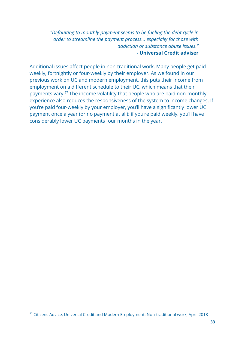*"Defaulting to monthly payment seems to be fueling the debt cycle in order to streamline the payment process… especially for those with addiction or substance abuse issues."* **- Universal Credit adviser**

Additional issues affect people in non-traditional work. Many people get paid weekly, fortnightly or four-weekly by their employer. As we found in our previous work on UC and modern employment, this puts their income from employment on a different schedule to their UC, which means that their payments vary.<sup>57</sup> The income volatility that people who are paid non-monthly experience also reduces the responsiveness of the system to income changes. If you're paid four-weekly by your employer, you'll have a significantly lower UC payment once a year (or no payment at all); if you're paid weekly, you'll have considerably lower UC payments four months in the year.

<sup>57</sup> Citizens Advice, Universal Credit and Modern Employment: Non-traditional work, April 2018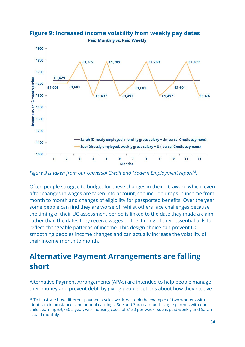

**Figure 9: Increased income volatility from weekly pay dates Paid Monthly vs. Paid Weekly** 

Figure 9 is taken from our Universal Credit and Modern Employment report<sup>58</sup>.

Often people struggle to budget for these changes in their UC award which, even after changes in wages are taken into account, can include drops in income from month to month and changes of eligibility for passported benefits. Over the year some people can find they are worse off whilst others face challenges because the timing of their UC assessment period is linked to the date they made a claim rather than the dates they receive wages or the timing of their essential bills to reflect changeable patterns of income. This design choice can prevent UC smoothing peoples income changes and can actually increase the volatility of their income month to month.

# **Alternative Payment Arrangements are falling short**

Alternative Payment Arrangements (APAs) are intended to help people manage their money and prevent debt, by giving people options about how they receive

<sup>&</sup>lt;sup>58</sup> To illustrate how different payment cycles work, we took the example of two workers with identical circumstances and annual earnings. Sue and Sarah are both single parents with one child , earning £9,750 a year, with housing costs of £150 per week. Sue is paid weekly and Sarah is paid monthly.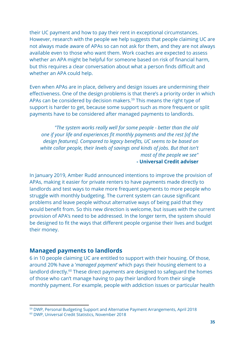their UC payment and how to pay their rent in exceptional circumstances. However, research with the people we help suggests that people claiming UC are not always made aware of APAs so can not ask for them, and they are not always available even to those who want them. Work coaches are expected to assess whether an APA might be helpful for someone based on risk of financial harm, but this requires a clear conversation about what a person finds difficult and whether an APA could help.

Even when APAs are in place, delivery and design issues are undermining their effectiveness. One of the design problems is that there's a priority order in which APAs can be considered by decision makers.<sup>59</sup> This means the right type of support is harder to get, because some support such as more frequent or split payments have to be considered after managed payments to landlords.

*"The system works really well for some people - better than the old one if your life and experiences fit monthly payments and the rest [of the design features]. Compared to legacy benefits, UC seems to be based on white collar people, their levels of savings and kinds of jobs. But that isn't most of the people we see"* **- Universal Credit adviser**

In January 2019, Amber Rudd announced intentions to improve the provision of APAs, making it easier for private renters to have payments made directly to landlords and test ways to make more frequent payments to more people who struggle with monthly budgeting. The current system can cause significant problems and leave people without alternative ways of being paid that they would benefit from. So this new direction is welcome, but issues with the current provision of APA's need to be addressed. In the longer term, the system should be designed to fit the ways that different people organise their lives and budget their money.

# **Managed payments to landlords**

6 in 10 people claiming UC are entitled to support with their housing. Of those, around 20% have a '*managed payment*' which pays their housing element to a landlord directly.<sup>60</sup> These direct payments are designed to safeguard the homes of those who can't manage having to pay their landlord from their single monthly payment. For example, people with addiction issues or particular health

<sup>59</sup> DWP, Personal Budgeting Support and Alternative Payment [Arrangements,](https://assets.publishing.service.gov.uk/government/uploads/system/uploads/attachment_data/file/724449/personal-budgeting-support-and-alternative-payment-arrangements-110718.pdf) April 2018

<sup>60</sup> DWP, [Universal](https://assets.publishing.service.gov.uk/government/uploads/system/uploads/attachment_data/file/755723/universal-credit-statistics-to-11-october-2018.pdf) Credit Statistics, November 2018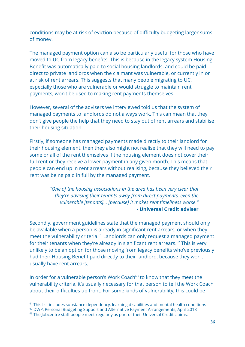conditions may be at risk of eviction because of difficulty budgeting larger sums of money.

The managed payment option can also be particularly useful for those who have moved to UC from legacy benefits. This is because in the legacy system Housing Benefit was automatically paid to social housing landlords, and could be paid direct to private landlords when the claimant was vulnerable, or currently in or at risk of rent arrears. This suggests that many people migrating to UC, especially those who are vulnerable or would struggle to maintain rent payments, won't be used to making rent payments themselves.

However, several of the advisers we interviewed told us that the system of managed payments to landlords do not always work. This can mean that they don't give people the help that they need to stay out of rent arrears and stabilise their housing situation.

Firstly, if someone has managed payments made directly to their landlord for their housing element, then they also might not realise that they will need to pay some or all of the rent themselves if the housing element does not cover their full rent or they receive a lower payment in any given month. This means that people can end up in rent arrears without realising, because they believed their rent was being paid in full by the managed payment.

> *"One of the housing associations in the area has been very clear that they're advising their tenants away from direct payments, even the vulnerable [tenants]… [because] it makes rent timeliness worse."* **- Universal Credit adviser**

Secondly, government guidelines state that the managed payment should only be available when a person is already in significant rent arrears, or when they meet the vulnerability criteria.<sup>61</sup> Landlords can only request a managed payment for their tenants when they're already in significant rent arrears.<sup>62</sup> This is very unlikely to be an option for those moving from legacy benefits who've previously had their Housing Benefit paid directly to their landlord, because they won't usually have rent arrears.

In order for a vulnerable person's Work Coach<sup>63</sup> to know that they meet the vulnerability criteria, it's usually necessary for that person to tell the Work Coach about their difficulties up front. For some kinds of vulnerability, this could be

<sup>&</sup>lt;sup>61</sup> This list includes substance dependency, learning disabilities and mental health conditions

<sup>62</sup> DWP, Personal Budgeting Support and Alternative Payment [Arrangements,](https://assets.publishing.service.gov.uk/government/uploads/system/uploads/attachment_data/file/724449/personal-budgeting-support-and-alternative-payment-arrangements-110718.pdf) April 2018

 $63$  The Jobcentre staff people meet regularly as part of their Universal Credit claims.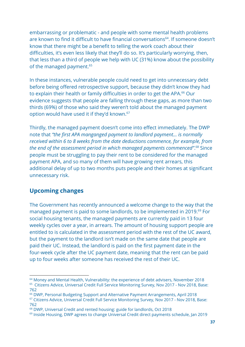embarrassing or problematic - and people with some mental health problems are known to find it difficult to have financial conversations<sup>64</sup>. If someone doesn't know that there might be a benefit to telling the work coach about their difficulties, it's even less likely that they'll do so. It's particularly worrying, then, that less than a third of people we help with UC (31%) know about the possibility of the managed payment.<sup>65</sup>

In these instances, vulnerable people could need to get into unnecessary debt before being offered retrospective support, because they didn't know they had to explain their health or family difficulties in order to get the APA.<sup>66</sup> Our evidence suggests that people are falling through these gaps, as more than two thirds (69%) of those who said they weren't told about the managed payment option would have used it if they'd known.<sup>67</sup>

Thirdly, the managed payment doesn't come into effect immediately. The DWP note that *"the first APA manganged payment to landlord payment... is normally received within 6 to 8 weeks from the date deductions commence, for example, from the end of the assessment period in which managed payments commenced".<sup>68</sup> Since* people must be struggling to pay their rent to be considered for the managed payment APA, and so many of them will have growing rent arrears, this additional delay of up to two months puts people and their homes at significant unnecessary risk.

# **Upcoming changes**

The Government has recently announced a welcome change to the way that the managed payment is paid to some landlords, to be implemented in 2019.<sup>69</sup> For social housing tenants, the managed payments are currently paid in 13 four weekly cycles over a year, in arrears. The amount of housing support people are entitled to is calculated in the assessment period with the rest of the UC award, but the payment to the landlord isn't made on the same date that people are paid their UC. Instead, the landlord is paid on the first payment date in the four-week cycle after the UC payment date, meaning that the rent can be paid up to four weeks after someone has received the rest of their UC.

<sup>&</sup>lt;sup>64</sup> Money and Mental Health, [Vulnerability:](https://www.moneyandmentalhealth.org/vulnerability-experience-debt-advisers/) the experience of debt advisers, November 2018 <sup>65</sup> Citizens Advice, Universal Credit Full Service Monitoring Survey, Nov 2017 - Nov 2018, Base: 762

<sup>66</sup> DWP, Personal Budgeting Support and Alternative Payment Arrangements, April 2018

<sup>67</sup> Citizens Advice, Universal Credit Full Service Monitoring Survey, Nov 2017 - Nov 2018, Base: 762

<sup>68</sup> DWP, Universal Credit and rented housing: guide for landlords, Oct 2018

 $69$  Inside Housing, DWP agrees to change Universal Credit direct [payments](https://www.insidehousing.co.uk/news/dwp-agrees-to-change-universal-credit-direct-payments-schedule-59623) schedule, Jan 2019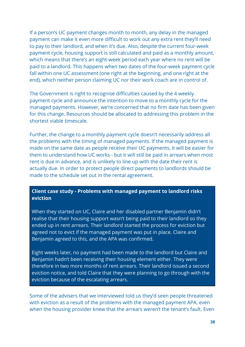If a person's UC payment changes month to month, any delay in the managed payment can make it even more difficult to work out any extra rent they'll need to pay to their landlord, and when it's due. Also, despite the current four-week payment cycle, housing support is still calculated and paid as a monthly amount, which means that there's an eight-week period each year where no rent will be paid to a landlord. This happens when two dates of the four-week payment cycle fall within one UC assessment (one right at the beginning, and one right at the end), which neither person claiming UC nor their work coach are in control of.

The Government is right to recognise difficulties caused by the 4 weekly payment cycle and announce the intention to move to a monthly cycle for the managed payments. However, we're concerned that no firm date has been given for this change. Resources should be allocated to addressing this problem in the shortest viable timescale.

Further, the change to a monthly payment cycle doesn't necessarily address all the problems with the timing of managed payments. If the managed payment is made on the same date as people receive their UC payments, it will be easier for them to understand how UC works - but it will still be paid in arrears when most rent is due in advance, and is unlikely to line up with the date their rent is actually due. In order to protect people direct payments to landlords should be made to the schedule set out in the rental agreement.

# **Client case study - Problems with managed payment to landlord risks eviction**

When they started on UC, Claire and her disabled partner Benjamin didn't realise that their housing support wasn't being paid to their landlord so they ended up in rent arrears. Their landlord started the process for eviction but agreed not to evict if the managed payment was put in place. Claire and Benjamin agreed to this, and the APA was confirmed.

Eight weeks later, no payment had been made to the landlord but Claire and Benjamin hadn't been receiving their housing element either. They were therefore in two more months of rent arrears. Their landlord issued a second eviction notice, and told Claire that they were planning to go through with the eviction because of the escalating arrears.

Some of the advisers that we interviewed told us they'd seen people threatened with eviction as a result of the problems with the managed payment APA, even when the housing provider knew that the arrears weren't the tenant's fault. Even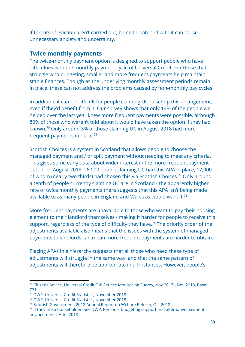if threats of eviction aren't carried out, being threatened with it can cause unnecessary anxiety and uncertainty.

# **Twice monthly payments**

The twice-monthly payment option is designed to support people who have difficulties with the monthly payment cycle of Universal Credit. For those that struggle with budgeting, smaller and more frequent payments help maintain stable finances. Though as the underlying monthly assessment periods remain in place, these can not address the problems caused by non-monthly pay cycles.

In addition, it can be difficult for people claiming UC to set up this arrangement, even if they'd benefit from it. Our survey shows that only 14% of the people we helped over the last year knew more frequent payments were possible, although 80% of those who weren't told about it would have taken the option if they had known.<sup>70</sup> Only around 3% of those claiming UC in August 2018 had more frequent payments in place. $71$ 

Scottish Choices is a system in Scotland that allows people to choose the managed payment and / or split payment without needing to meet any criteria. This gives some early data about wider interest in the more frequent payment option. In August 2018, 26,000 people claiming UC had this APA in place, 17,000 of whom (nearly two thirds) had chosen this via Scottish Choices.<sup>72</sup> Only around a tenth of people currently claiming UC are in Scotland - the apparently higher rate of twice monthly payments there suggests that this APA isn't being made available to as many people in England and Wales as would want it.<sup>73</sup>

More frequent payments are unavailable to those who want to pay their housing element to their landlord themselves - making it harder for people to receive this support, regardless of the type of difficulty they have.<sup>74</sup> The priority order of the adjustments available also means that the issues with the system of managed payments to landlords can mean more frequent payments are harder to obtain.

Placing APAs in a hierarchy suggests that all those who need these type of adjustments will struggle in the same way, and that the same pattern of adjustments will therefore be appropriate in all instances. However, people's

<sup>&</sup>lt;sup>70</sup> Citizens Advice, Universal Credit Full Service Monitoring Survey, Nov 2017 - Nov 2018, Base: 771

<sup>71</sup> DWP, Universal Credit Statistics, November 2018

<sup>72</sup> DWP, Universal Credit Statistics, November 2018

<sup>73</sup> Scottish Government, 2018 Annual Report on Welfare Reform, Oct 2018

 $74$  If they are a householder. See DWP, Personal budgeting support and [alternative](https://assets.publishing.service.gov.uk/government/uploads/system/uploads/attachment_data/file/747989/personal-budgeting-support-and-alternative-payment-arrangements.pdf) payment [arrangements,](https://assets.publishing.service.gov.uk/government/uploads/system/uploads/attachment_data/file/747989/personal-budgeting-support-and-alternative-payment-arrangements.pdf) April 2018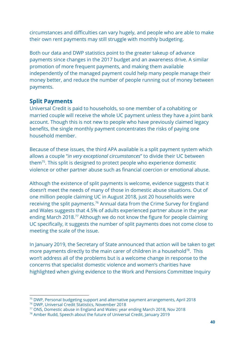circumstances and difficulties can vary hugely, and people who are able to make their own rent payments may still struggle with monthly budgeting.

Both our data and DWP statistics point to the greater takeup of advance payments since changes in the 2017 budget and an awareness drive. A similar promotion of more frequent payments, and making them available independently of the managed payment could help many people manage their money better, and reduce the number of people running out of money between payments.

# **Split Payments**

Universal Credit is paid to households, so one member of a cohabiting or married couple will receive the whole UC payment unless they have a joint bank account. Though this is not new to people who have previously claimed legacy benefits, the single monthly payment concentrates the risks of paying one household member.

Because of these issues, the third APA available is a split payment system which allows a couple "*in very exceptional circumstances*" to divide their UC between them<sup>75</sup>. This split is designed to protect people who experience domestic violence or other partner abuse such as financial coercion or emotional abuse.

Although the existence of split payments is welcome, evidence suggests that it doesn't meet the needs of many of those in domestic abuse situations. Out of one million people claiming UC in August 2018, just 20 households were receiving the split payments.<sup>76</sup> Annual data from the Crime Survey for England and Wales suggests that 4.5% of adults experienced partner abuse in the year ending March 2018.<sup>77</sup> Although we do not know the figure for people claiming UC specifically, it suggests the number of split payments does not come close to meeting the scale of the issue.

In January 2019, the Secretary of State announced that action will be taken to get more payments directly to the main carer of children in a household<sup>78</sup>. This won't address all of the problems but is a welcome change in response to the concerns that specialist domestic violence and women's charities have highlighted when giving evidence to the Work and Pensions Committee Inquiry

<sup>75</sup> DWP, Personal budgeting support and alternative payment arrangements, April 2018

<sup>76</sup> DWP, [Universal](https://assets.publishing.service.gov.uk/government/uploads/system/uploads/attachment_data/file/755723/universal-credit-statistics-to-11-october-2018.pdf) Credit Statistics, November 2018

<sup>77</sup> ONS, Domestic abuse in England and Wales: year ending March 2018, Nov 2018

<sup>78</sup> Amber Rudd, Speech about the future of [Universal](https://www.gov.uk/government/speeches/universal-credit-personal-welfare) Credit, January 2019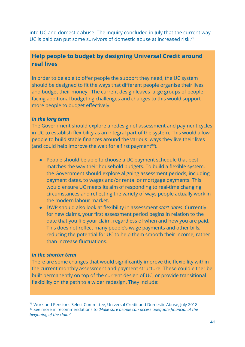into UC and domestic abuse. The inquiry concluded in July that the current way UC is paid can put some survivors of domestic abuse at increased risk.<sup>79</sup>

# **Help people to budget by designing Universal Credit around real lives**

In order to be able to offer people the support they need, the UC system should be designed to fit the ways that different people organise their lives and budget their money. The current design leaves large groups of people facing additional budgeting challenges and changes to this would support more people to budget effectively.

#### *In the long term*

The Government should explore a redesign of assessment and payment cycles in UC to establish flexibility as an integral part of the system. This would allow people to build stable finances around the various ways they live their lives (and could help improve the wait for a first payment $80$ ).

- People should be able to choose a UC payment schedule that best matches the way their household budgets. To build a flexible system, the Government should explore aligning assessment periods, including payment dates, to wages and/or rental or mortgage payments. This would ensure UC meets its aim of responding to real-time changing circumstances and reflecting the variety of ways people actually work in the modern labour market.
- DWP should also look at flexibility in assessment *start dates*. Currently for new claims, your first assessment period begins in relation to the date that you file your claim, regardless of when and how you are paid. This does not reflect many people's wage payments and other bills, reducing the potential for UC to help them smooth their income, rather than increase fluctuations.

## *In the shorter term*

There are some changes that would significantly improve the flexibility within the current monthly assessment and payment structure. These could either be built permanently on top of the current design of UC, or provide transitional flexibility on the path to a wider redesign. They include:

<sup>&</sup>lt;sup>79</sup> Work and Pensions Select Committee, Universal Credit and Domestic Abuse, July 2018 <sup>80</sup> See more in recommendations to *'Make sure people can access adequate financial at the beginning of the claim'*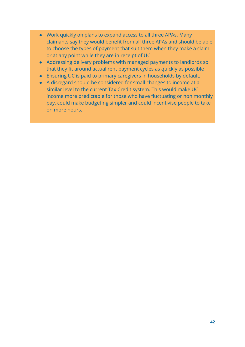- Work quickly on plans to expand access to all three APAs. Many claimants say they would benefit from all three APAs and should be able to choose the types of payment that suit them when they make a claim or at any point while they are in receipt of UC.
- Addressing delivery problems with managed payments to landlords so that they fit around actual rent payment cycles as quickly as possible
- Ensuring UC is paid to primary caregivers in households by default.
- A disregard should be considered for small changes to income at a similar level to the current Tax Credit system. This would make UC income more predictable for those who have fluctuating or non monthly pay, could make budgeting simpler and could incentivise people to take on more hours.